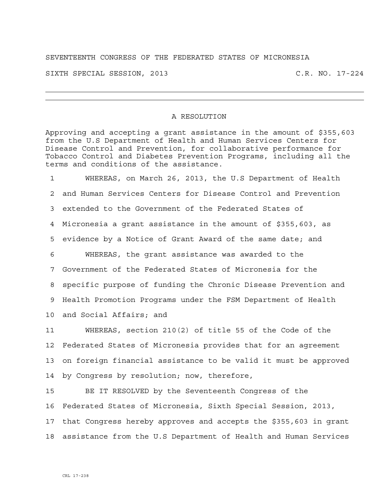## SEVENTEENTH CONGRESS OF THE FEDERATED STATES OF MICRONESIA

SIXTH SPECIAL SESSION, 2013 C.R. NO. 17-224

## A RESOLUTION

Approving and accepting a grant assistance in the amount of \$355,603 from the U.S Department of Health and Human Services Centers for Disease Control and Prevention, for collaborative performance for Tobacco Control and Diabetes Prevention Programs, including all the terms and conditions of the assistance.

1 WHEREAS, on March 26, 2013, the U.S Department of Health 2 and Human Services Centers for Disease Control and Prevention 3 extended to the Government of the Federated States of 4 Micronesia a grant assistance in the amount of \$355,603, as 5 evidence by a Notice of Grant Award of the same date; and 6 WHEREAS, the grant assistance was awarded to the 7 Government of the Federated States of Micronesia for the 8 specific purpose of funding the Chronic Disease Prevention and 9 Health Promotion Programs under the FSM Department of Health 10 and Social Affairs; and

11 WHEREAS, section 210(2) of title 55 of the Code of the 12 Federated States of Micronesia provides that for an agreement 13 on foreign financial assistance to be valid it must be approved 14 by Congress by resolution; now, therefore,

15 BE IT RESOLVED by the Seventeenth Congress of the 16 Federated States of Micronesia, Sixth Special Session, 2013, 17 that Congress hereby approves and accepts the \$355,603 in grant 18 assistance from the U.S Department of Health and Human Services